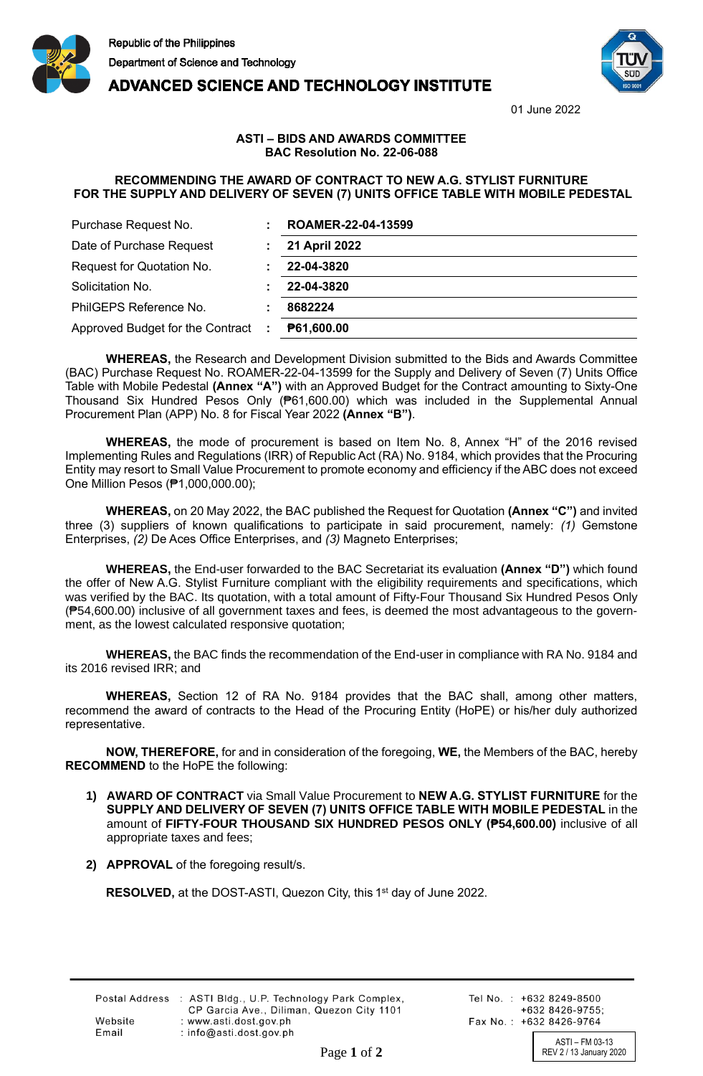



01 June 2022

## **ADVANCED SCIENCE AND TECHNOLOGY INSTITUTE**

## **ASTI – BIDS AND AWARDS COMMITTEE BAC Resolution No. 22-06-088**

## **RECOMMENDING THE AWARD OF CONTRACT TO NEW A.G. STYLIST FURNITURE FOR THE SUPPLY AND DELIVERY OF SEVEN (7) UNITS OFFICE TABLE WITH MOBILE PEDESTAL**

| Purchase Request No.             | ROAMER-22-04-13599 |
|----------------------------------|--------------------|
| Date of Purchase Request         | 21 April 2022      |
| Request for Quotation No.        | 22-04-3820         |
| Solicitation No.                 | 22-04-3820         |
| PhilGEPS Reference No.           | 8682224            |
| Approved Budget for the Contract | P61,600.00         |

**WHEREAS,** the Research and Development Division submitted to the Bids and Awards Committee (BAC) Purchase Request No. ROAMER-22-04-13599 for the Supply and Delivery of Seven (7) Units Office Table with Mobile Pedestal **(Annex "A")** with an Approved Budget for the Contract amounting to Sixty-One Thousand Six Hundred Pesos Only (₱61,600.00) which was included in the Supplemental Annual Procurement Plan (APP) No. 8 for Fiscal Year 2022 **(Annex "B")**.

**WHEREAS,** the mode of procurement is based on Item No. 8, Annex "H" of the 2016 revised Implementing Rules and Regulations (IRR) of Republic Act (RA) No. 9184, which provides that the Procuring Entity may resort to Small Value Procurement to promote economy and efficiency if the ABC does not exceed One Million Pesos (₱1,000,000.00);

**WHEREAS,** on 20 May 2022, the BAC published the Request for Quotation **(Annex "C")** and invited three (3) suppliers of known qualifications to participate in said procurement, namely: *(1)* Gemstone Enterprises, *(2)* De Aces Office Enterprises, and *(3)* Magneto Enterprises;

**WHEREAS,** the End-user forwarded to the BAC Secretariat its evaluation **(Annex "D")** which found the offer of New A.G. Stylist Furniture compliant with the eligibility requirements and specifications, which was verified by the BAC. Its quotation, with a total amount of Fifty-Four Thousand Six Hundred Pesos Only (₱54,600.00) inclusive of all government taxes and fees, is deemed the most advantageous to the government, as the lowest calculated responsive quotation;

**WHEREAS,** the BAC finds the recommendation of the End-user in compliance with RA No. 9184 and its 2016 revised IRR; and

**WHEREAS,** Section 12 of RA No. 9184 provides that the BAC shall, among other matters, recommend the award of contracts to the Head of the Procuring Entity (HoPE) or his/her duly authorized representative.

**NOW, THEREFORE,** for and in consideration of the foregoing, **WE,** the Members of the BAC, hereby **RECOMMEND** to the HoPE the following:

- **1) AWARD OF CONTRACT** via Small Value Procurement to **NEW A.G. STYLIST FURNITURE** for the **SUPPLY AND DELIVERY OF SEVEN (7) UNITS OFFICE TABLE WITH MOBILE PEDESTAL** in the amount of **FIFTY-FOUR THOUSAND SIX HUNDRED PESOS ONLY (₱54,600.00)** inclusive of all appropriate taxes and fees;
- **2) APPROVAL** of the foregoing result/s.

RESOLVED, at the DOST-ASTI, Quezon City, this 1<sup>st</sup> day of June 2022.